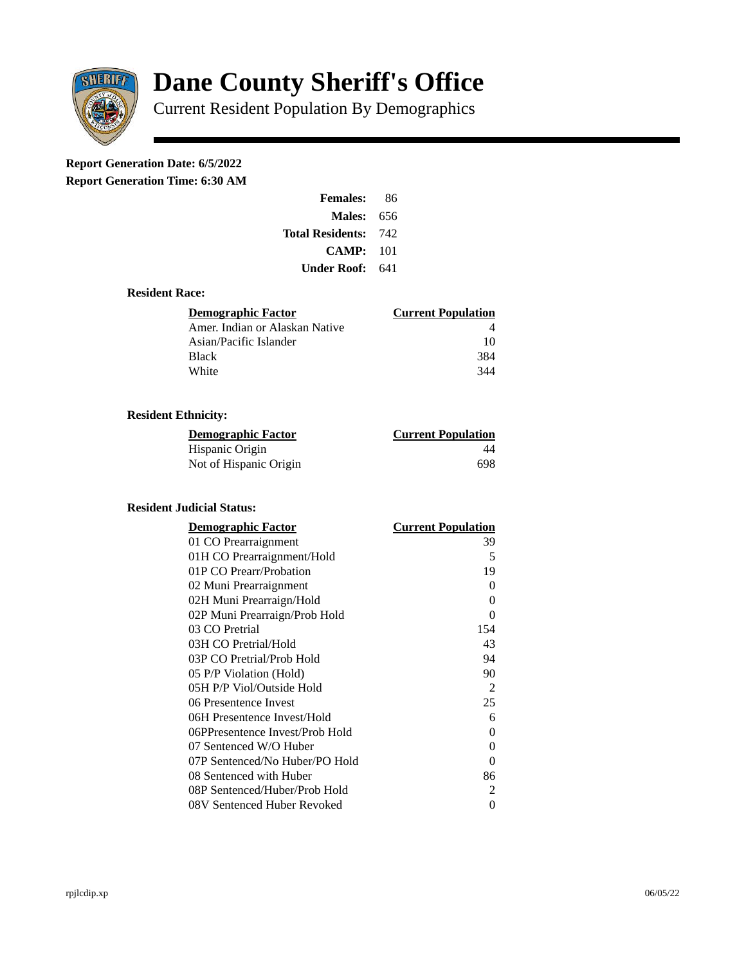

# **Dane County Sheriff's Office**

Current Resident Population By Demographics

# **Report Generation Date: 6/5/2022**

**Report Generation Time: 6:30 AM** 

| <b>Females:</b>         | 86  |
|-------------------------|-----|
| <b>Males: 656</b>       |     |
| <b>Total Residents:</b> | 742 |
| CAMP:                   | 101 |
| Under Roof: 641         |     |

### **Resident Race:**

| Demographic Factor             | <b>Current Population</b> |
|--------------------------------|---------------------------|
| Amer. Indian or Alaskan Native |                           |
| Asian/Pacific Islander         | 10                        |
| Black                          | 384                       |
| White                          | 344                       |

## **Resident Ethnicity:**

| <u> Demographic Factor</u> | <b>Current Population</b> |
|----------------------------|---------------------------|
| Hispanic Origin            | 44                        |
| Not of Hispanic Origin     | 698                       |

#### **Resident Judicial Status:**

| <b>Demographic Factor</b>       | <b>Current Population</b> |
|---------------------------------|---------------------------|
| 01 CO Prearraignment            | 39                        |
| 01H CO Prearraignment/Hold      | 5                         |
| 01P CO Prearr/Probation         | 19                        |
| 02 Muni Prearraignment          | 0                         |
| 02H Muni Prearraign/Hold        | 0                         |
| 02P Muni Prearraign/Prob Hold   | 0                         |
| 03 CO Pretrial                  | 154                       |
| 03H CO Pretrial/Hold            | 43                        |
| 03P CO Pretrial/Prob Hold       | 94                        |
| 05 P/P Violation (Hold)         | 90                        |
| 05H P/P Viol/Outside Hold       | 2                         |
| 06 Presentence Invest           | 25                        |
| 06H Presentence Invest/Hold     | 6                         |
| 06PPresentence Invest/Prob Hold | 0                         |
| 07 Sentenced W/O Huber          | 0                         |
| 07P Sentenced/No Huber/PO Hold  | 0                         |
| 08 Sentenced with Huber         | 86                        |
| 08P Sentenced/Huber/Prob Hold   | 2                         |
| 08V Sentenced Huber Revoked     | 0                         |